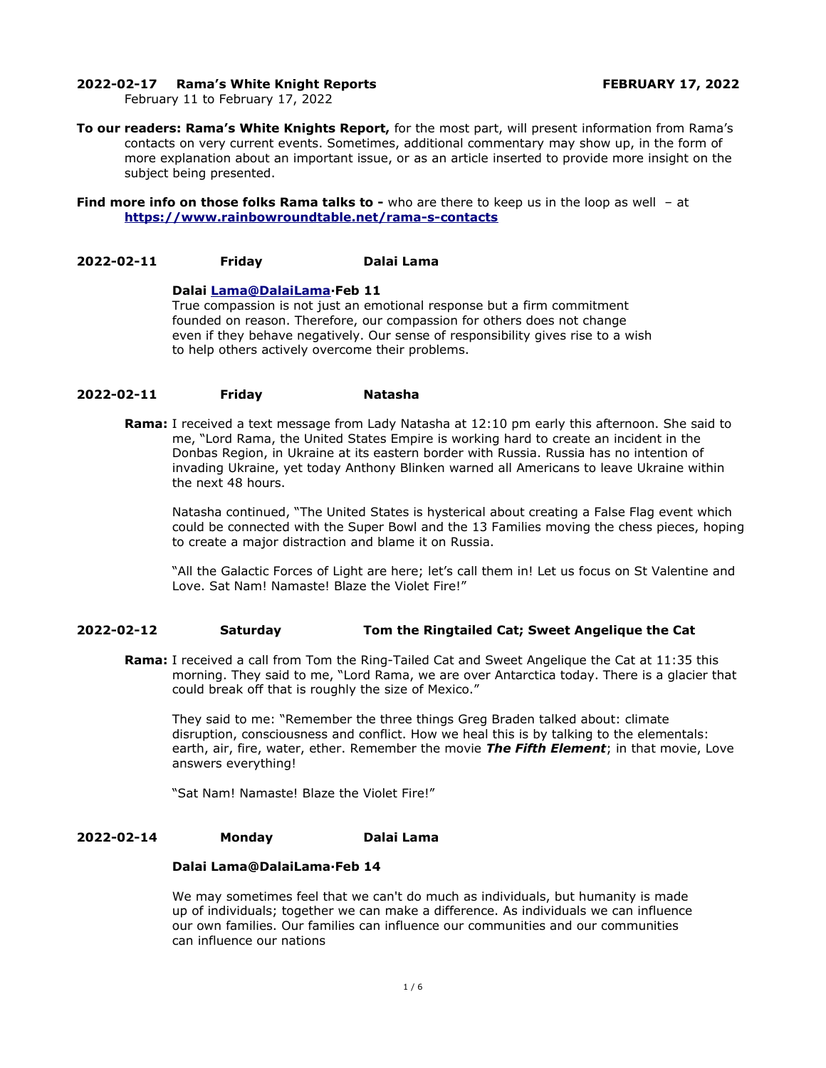#### **2022-02-17 Rama's White Knight Reports FEBRUARY 17, 2022**

February 11 to February 17, 2022

**To our readers: Rama's White Knights Report,** for the most part, will present information from Rama's contacts on very current events. Sometimes, additional commentary may show up, in the form of more explanation about an important issue, or as an article inserted to provide more insight on the subject being presented.

**Find more info on those folks Rama talks to -** who are there to keep us in the loop as well - at **<https://www.rainbowroundtable.net/rama-s-contacts>**

### **2022-02-11 Friday Dalai Lama**

#### **Dalai [Lama@DalaiLama](mailto:Lama@DalaiLama)·Feb 11**

True compassion is not just an emotional response but a firm commitment founded on reason. Therefore, our compassion for others does not change even if they behave negatively. Our sense of responsibility gives rise to a wish to help others actively overcome their problems.

## **2022-02-11 Friday Natasha**

**Rama:** I received a text message from Lady Natasha at 12:10 pm early this afternoon. She said to me, "Lord Rama, the United States Empire is working hard to create an incident in the Donbas Region, in Ukraine at its eastern border with Russia. Russia has no intention of invading Ukraine, yet today Anthony Blinken warned all Americans to leave Ukraine within the next 48 hours.

Natasha continued, "The United States is hysterical about creating a False Flag event which could be connected with the Super Bowl and the 13 Families moving the chess pieces, hoping to create a major distraction and blame it on Russia.

"All the Galactic Forces of Light are here; let's call them in! Let us focus on St Valentine and Love. Sat Nam! Namaste! Blaze the Violet Fire!"

### **2022-02-12 Saturday Tom the Ringtailed Cat; Sweet Angelique the Cat**

**Rama:** I received a call from Tom the Ring-Tailed Cat and Sweet Angelique the Cat at 11:35 this morning. They said to me, "Lord Rama, we are over Antarctica today. There is a glacier that could break off that is roughly the size of Mexico."

They said to me: "Remember the three things Greg Braden talked about: climate disruption, consciousness and conflict. How we heal this is by talking to the elementals: earth, air, fire, water, ether. Remember the movie *The Fifth Element*; in that movie, Love answers everything!

"Sat Nam! Namaste! Blaze the Violet Fire!"

## **2022-02-14 Monday Dalai Lama**

### **Dalai Lama@DalaiLama·Feb 14**

We may sometimes feel that we can't do much as individuals, but humanity is made up of individuals; together we can make a difference. As individuals we can influence our own families. Our families can influence our communities and our communities can influence our nations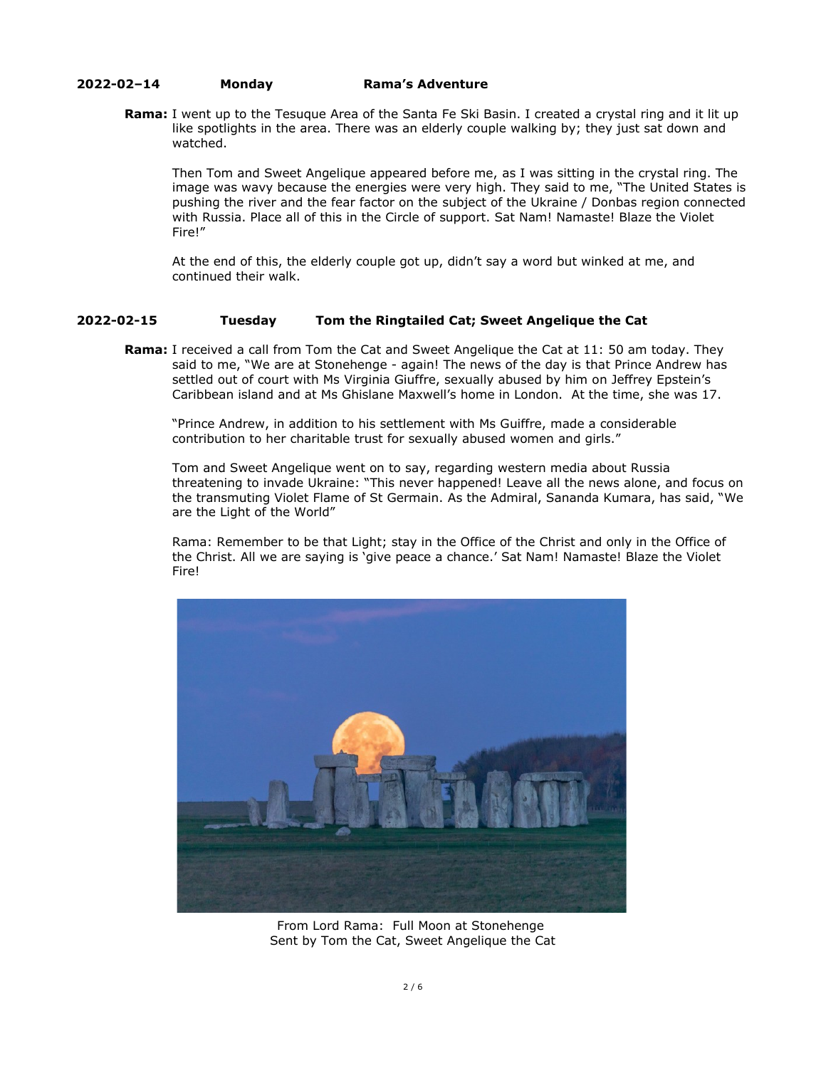### **2022-02–14 Monday Rama's Adventure**

**Rama:** I went up to the Tesuque Area of the Santa Fe Ski Basin. I created a crystal ring and it lit up like spotlights in the area. There was an elderly couple walking by; they just sat down and watched.

Then Tom and Sweet Angelique appeared before me, as I was sitting in the crystal ring. The image was wavy because the energies were very high. They said to me, "The United States is pushing the river and the fear factor on the subject of the Ukraine / Donbas region connected with Russia. Place all of this in the Circle of support. Sat Nam! Namaste! Blaze the Violet Fire!"

At the end of this, the elderly couple got up, didn't say a word but winked at me, and continued their walk.

# **2022-02-15 Tuesday Tom the Ringtailed Cat; Sweet Angelique the Cat**

**Rama:** I received a call from Tom the Cat and Sweet Angelique the Cat at 11: 50 am today. They said to me, "We are at Stonehenge - again! The news of the day is that Prince Andrew has settled out of court with Ms Virginia Giuffre, sexually abused by him on Jeffrey Epstein's Caribbean island and at Ms Ghislane Maxwell's home in London. At the time, she was 17.

"Prince Andrew, in addition to his settlement with Ms Guiffre, made a considerable contribution to her charitable trust for sexually abused women and girls."

Tom and Sweet Angelique went on to say, regarding western media about Russia threatening to invade Ukraine: "This never happened! Leave all the news alone, and focus on the transmuting Violet Flame of St Germain. As the Admiral, Sananda Kumara, has said, "We are the Light of the World"

Rama: Remember to be that Light; stay in the Office of the Christ and only in the Office of the Christ. All we are saying is 'give peace a chance.' Sat Nam! Namaste! Blaze the Violet Fire!



From Lord Rama: Full Moon at Stonehenge Sent by Tom the Cat, Sweet Angelique the Cat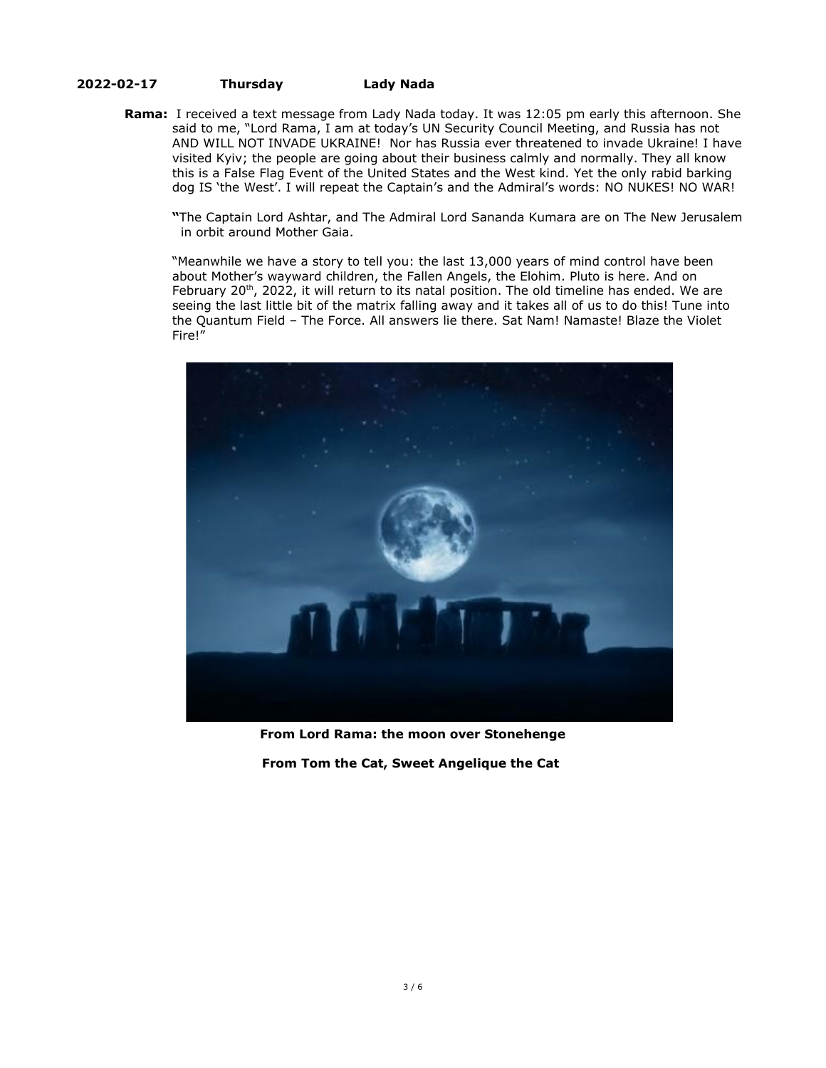## **2022-02-17 Thursday Lady Nada**

**Rama:** I received a text message from Lady Nada today. It was 12:05 pm early this afternoon. She said to me, "Lord Rama, I am at today's UN Security Council Meeting, and Russia has not AND WILL NOT INVADE UKRAINE! Nor has Russia ever threatened to invade Ukraine! I have visited Kyiv; the people are going about their business calmly and normally. They all know this is a False Flag Event of the United States and the West kind. Yet the only rabid barking dog IS 'the West'. I will repeat the Captain's and the Admiral's words: NO NUKES! NO WAR!

**"**The Captain Lord Ashtar, and The Admiral Lord Sananda Kumara are on The New Jerusalem in orbit around Mother Gaia.

"Meanwhile we have a story to tell you: the last 13,000 years of mind control have been about Mother's wayward children, the Fallen Angels, the Elohim. Pluto is here. And on February 20<sup>th</sup>, 2022, it will return to its natal position. The old timeline has ended. We are seeing the last little bit of the matrix falling away and it takes all of us to do this! Tune into the Quantum Field – The Force. All answers lie there. Sat Nam! Namaste! Blaze the Violet Fire!"



**From Lord Rama: the moon over Stonehenge**

**From Tom the Cat, Sweet Angelique the Cat**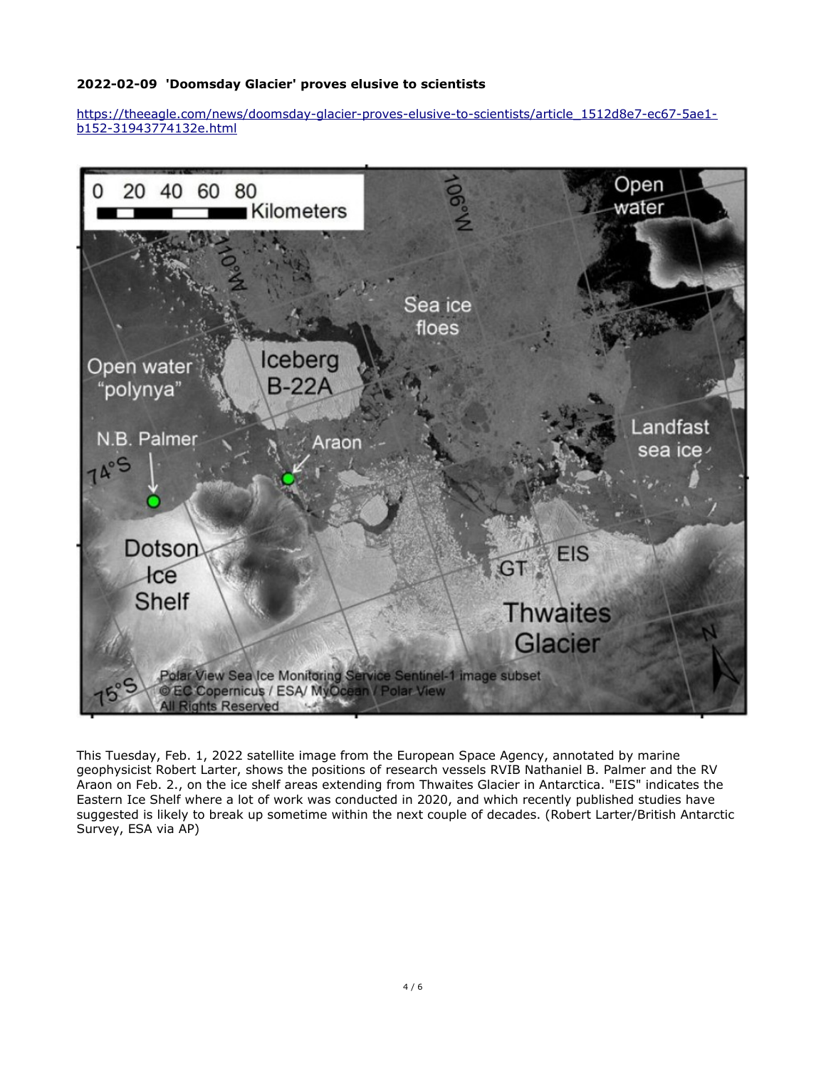# **2022-02-09 'Doomsday Glacier' proves elusive to scientists**

[https://theeagle.com/news/doomsday-glacier-proves-elusive-to-scientists/article\\_1512d8e7-ec67-5ae1](https://theeagle.com/news/doomsday-glacier-proves-elusive-to-scientists/article_1512d8e7-ec67-5ae1-b152-31943774132e.html) [b152-31943774132e.html](https://theeagle.com/news/doomsday-glacier-proves-elusive-to-scientists/article_1512d8e7-ec67-5ae1-b152-31943774132e.html)



This Tuesday, Feb. 1, 2022 satellite image from the European Space Agency, annotated by marine geophysicist Robert Larter, shows the positions of research vessels RVIB Nathaniel B. Palmer and the RV Araon on Feb. 2., on the ice shelf areas extending from Thwaites Glacier in Antarctica. "EIS" indicates the Eastern Ice Shelf where a lot of work was conducted in 2020, and which recently published studies have suggested is likely to break up sometime within the next couple of decades. (Robert Larter/British Antarctic Survey, ESA via AP)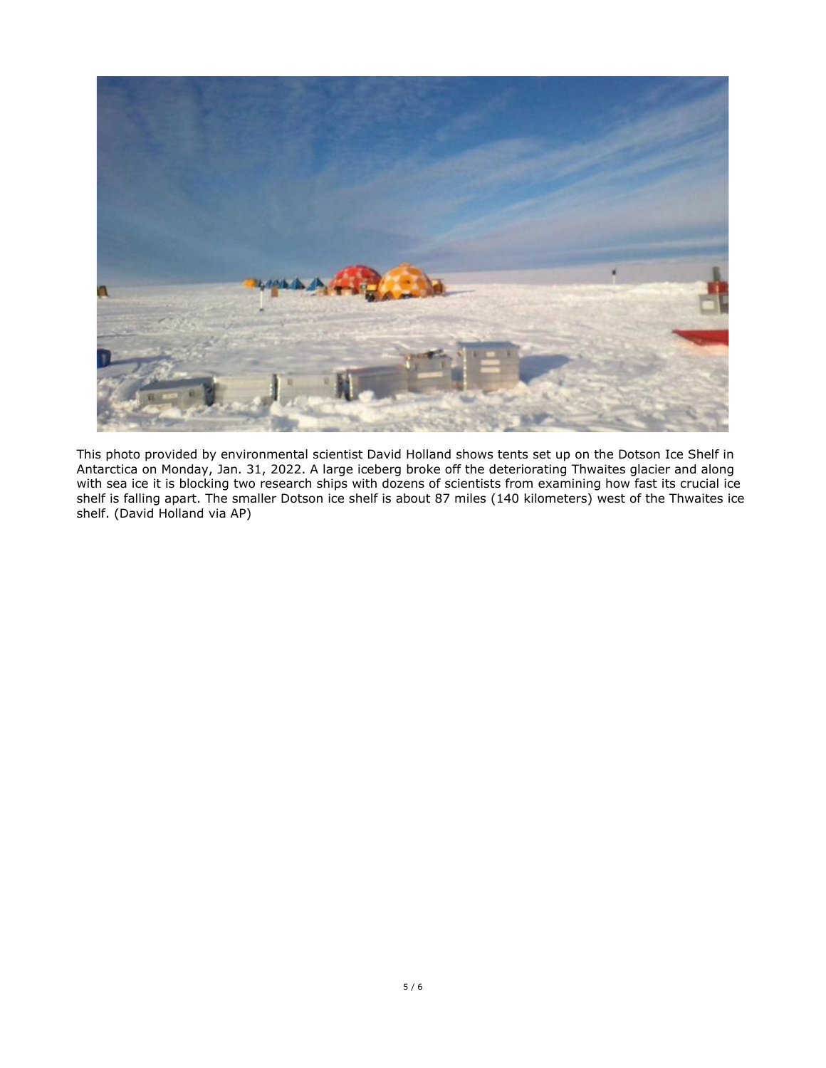![](_page_4_Picture_0.jpeg)

This photo provided by environmental scientist David Holland shows tents set up on the Dotson Ice Shelf in Antarctica on Monday, Jan. 31, 2022. A large iceberg broke off the deteriorating Thwaites glacier and along with sea ice it is blocking two research ships with dozens of scientists from examining how fast its crucial ice shelf is falling apart. The smaller Dotson ice shelf is about 87 miles (140 kilometers) west of the Thwaites ice shelf. (David Holland via AP)